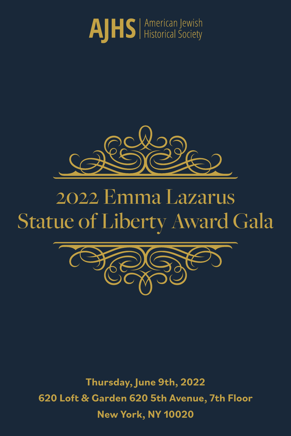



# 2022 Emma Lazarus Statue of Liberty Award Gala



**Thursday, June 9th, 2022 620 Loft & Garden 620 5th Avenue, 7th Floor New York, NY 10020**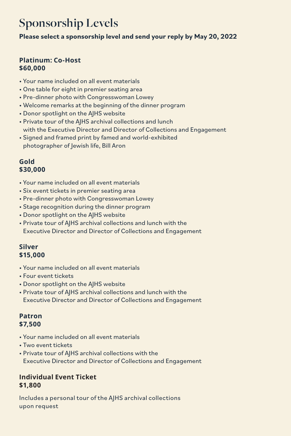# **Sponsorship Levels**

**Please select a sponsorship level and send your reply by May 20, 2022**

## **Platinum: Co-Host \$60,000**

- Your name included on all event materials
- One table for eight in premier seating area
- Pre-dinner photo with Congresswoman Lowey
- Welcome remarks at the beginning of the dinner program
- Donor spotlight on the AJHS website
- Private tour of the AJHS archival collections and lunch with the Executive Director and Director of Collections and Engagement
- Signed and framed print by famed and world-exhibited photographer of Jewish life, Bill Aron

### **Gold \$30,000**

- Your name included on all event materials
- Six event tickets in premier seating area
- Pre-dinner photo with Congresswoman Lowey
- Stage recognition during the dinner program
- Donor spotlight on the AJHS website
- Private tour of AJHS archival collections and lunch with the Executive Director and Director of Collections and Engagement

# **Silver \$15,000**

- Your name included on all event materials
- Four event tickets
- Donor spotlight on the AJHS website
- Private tour of AJHS archival collections and lunch with the Executive Director and Director of Collections and Engagement

#### **Patron \$7,500**

- Your name included on all event materials
- Two event tickets
- Private tour of AJHS archival collections with the Executive Director and Director of Collections and Engagement

# **Individual Event Ticket \$1,800**

Includes a personal tour of the AJHS archival collections upon request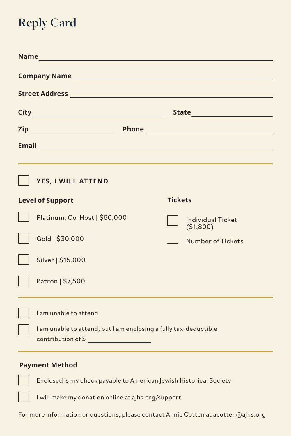# **Reply Card**

| Name and the second contract of the second contract of the second contract of the second contract of the second contract of the second contract of the second contract of the second contract of the second contract of the se       |                                                                                        |                                      |
|--------------------------------------------------------------------------------------------------------------------------------------------------------------------------------------------------------------------------------------|----------------------------------------------------------------------------------------|--------------------------------------|
|                                                                                                                                                                                                                                      |                                                                                        |                                      |
| Street Address <b>Production of the Contract of Contract Contract of Contract Contract Contract Oriental Contract Contract Oriental Contract Contract Oriental Contract Contract Contract Oriental Contract Contract Contract Or</b> |                                                                                        |                                      |
|                                                                                                                                                                                                                                      |                                                                                        |                                      |
|                                                                                                                                                                                                                                      |                                                                                        |                                      |
| Email <b>Executive Construction of the Construction</b>                                                                                                                                                                              |                                                                                        |                                      |
|                                                                                                                                                                                                                                      |                                                                                        |                                      |
|                                                                                                                                                                                                                                      | YES, I WILL ATTEND                                                                     |                                      |
|                                                                                                                                                                                                                                      | <b>Level of Support</b>                                                                | <b>Tickets</b>                       |
|                                                                                                                                                                                                                                      | Platinum: Co-Host   \$60,000                                                           | <b>Individual Ticket</b><br>(51,800) |
|                                                                                                                                                                                                                                      | Gold   \$30,000                                                                        | Number of Tickets                    |
|                                                                                                                                                                                                                                      | Silver   \$15,000                                                                      |                                      |
|                                                                                                                                                                                                                                      | Patron   \$7,500                                                                       |                                      |
|                                                                                                                                                                                                                                      |                                                                                        |                                      |
|                                                                                                                                                                                                                                      | I am unable to attend                                                                  |                                      |
|                                                                                                                                                                                                                                      | I am unable to attend, but I am enclosing a fully tax-deductible<br>contribution of \$ |                                      |
|                                                                                                                                                                                                                                      |                                                                                        |                                      |

# **Payment Method**

Enclosed is my check payable to American Jewish Historical Society

I will make my donation online at ajhs.org/support

For more information or questions, please contact Annie Cotten at acotten@ajhs.org